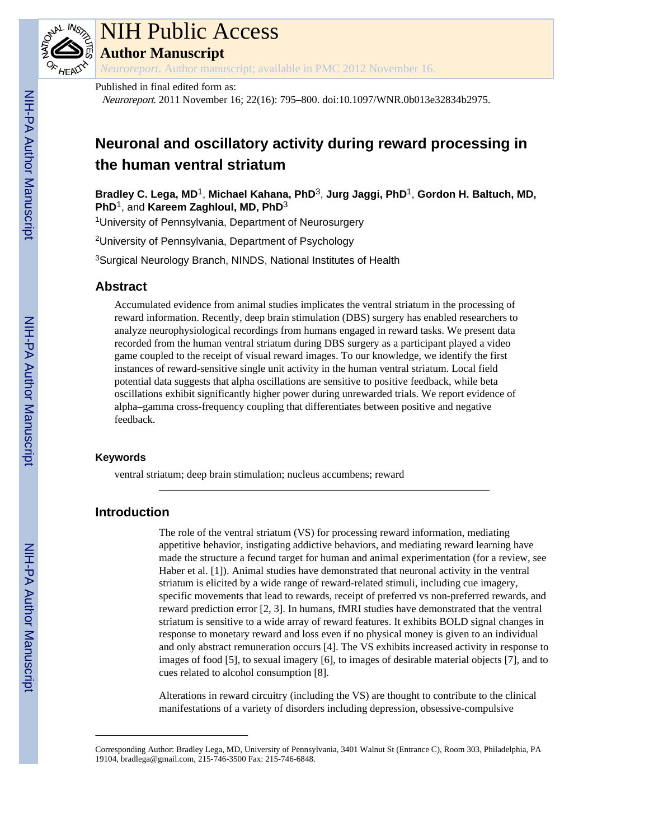

# NIH Public Access

**Author Manuscript**

*Neuroreport*. Author manuscript; available in PMC 2012 November 16.

Published in final edited form as:

Neuroreport. 2011 November 16; 22(16): 795–800. doi:10.1097/WNR.0b013e32834b2975.

# **Neuronal and oscillatory activity during reward processing in the human ventral striatum**

**Bradley C. Lega, MD**1, **Michael Kahana, PhD**3, **Jurg Jaggi, PhD**1, **Gordon H. Baltuch, MD, PhD**1, and **Kareem Zaghloul, MD, PhD**<sup>3</sup>

<sup>1</sup>University of Pennsylvania, Department of Neurosurgery

<sup>2</sup>University of Pennsylvania, Department of Psychology

<sup>3</sup>Surgical Neurology Branch, NINDS, National Institutes of Health

# **Abstract**

Accumulated evidence from animal studies implicates the ventral striatum in the processing of reward information. Recently, deep brain stimulation (DBS) surgery has enabled researchers to analyze neurophysiological recordings from humans engaged in reward tasks. We present data recorded from the human ventral striatum during DBS surgery as a participant played a video game coupled to the receipt of visual reward images. To our knowledge, we identify the first instances of reward-sensitive single unit activity in the human ventral striatum. Local field potential data suggests that alpha oscillations are sensitive to positive feedback, while beta oscillations exhibit significantly higher power during unrewarded trials. We report evidence of alpha–gamma cross-frequency coupling that differentiates between positive and negative feedback.

#### **Keywords**

ventral striatum; deep brain stimulation; nucleus accumbens; reward

# **Introduction**

The role of the ventral striatum (VS) for processing reward information, mediating appetitive behavior, instigating addictive behaviors, and mediating reward learning have made the structure a fecund target for human and animal experimentation (for a review, see Haber et al. [1]). Animal studies have demonstrated that neuronal activity in the ventral striatum is elicited by a wide range of reward-related stimuli, including cue imagery, specific movements that lead to rewards, receipt of preferred vs non-preferred rewards, and reward prediction error [2, 3]. In humans, fMRI studies have demonstrated that the ventral striatum is sensitive to a wide array of reward features. It exhibits BOLD signal changes in response to monetary reward and loss even if no physical money is given to an individual and only abstract remuneration occurs [4]. The VS exhibits increased activity in response to images of food [5], to sexual imagery [6], to images of desirable material objects [7], and to cues related to alcohol consumption [8].

Alterations in reward circuitry (including the VS) are thought to contribute to the clinical manifestations of a variety of disorders including depression, obsessive-compulsive

Corresponding Author: Bradley Lega, MD, University of Pennsylvania, 3401 Walnut St (Entrance C), Room 303, Philadelphia, PA 19104, bradlega@gmail.com, 215-746-3500 Fax: 215-746-6848.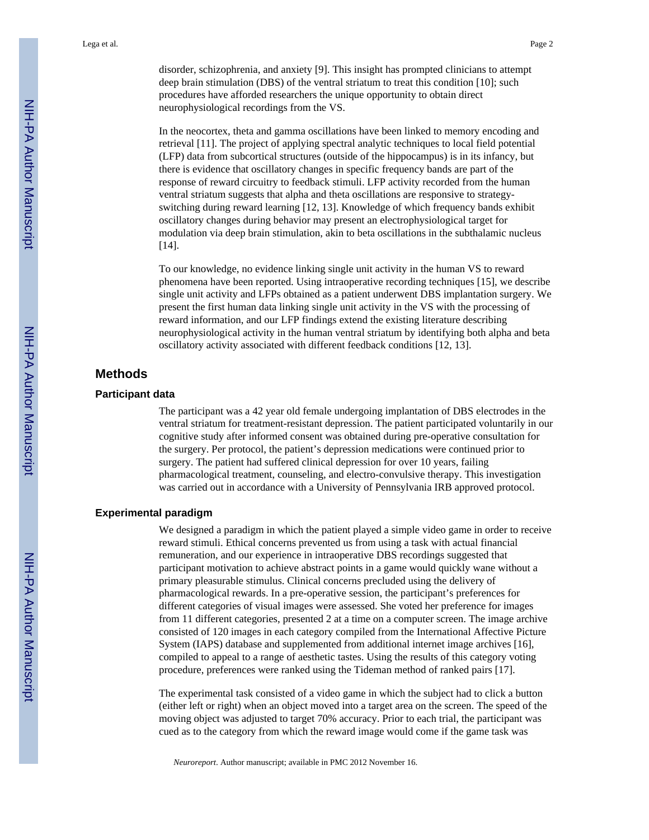disorder, schizophrenia, and anxiety [9]. This insight has prompted clinicians to attempt deep brain stimulation (DBS) of the ventral striatum to treat this condition [10]; such procedures have afforded researchers the unique opportunity to obtain direct neurophysiological recordings from the VS.

In the neocortex, theta and gamma oscillations have been linked to memory encoding and retrieval [11]. The project of applying spectral analytic techniques to local field potential (LFP) data from subcortical structures (outside of the hippocampus) is in its infancy, but there is evidence that oscillatory changes in specific frequency bands are part of the response of reward circuitry to feedback stimuli. LFP activity recorded from the human ventral striatum suggests that alpha and theta oscillations are responsive to strategyswitching during reward learning [12, 13]. Knowledge of which frequency bands exhibit oscillatory changes during behavior may present an electrophysiological target for modulation via deep brain stimulation, akin to beta oscillations in the subthalamic nucleus [14].

To our knowledge, no evidence linking single unit activity in the human VS to reward phenomena have been reported. Using intraoperative recording techniques [15], we describe single unit activity and LFPs obtained as a patient underwent DBS implantation surgery. We present the first human data linking single unit activity in the VS with the processing of reward information, and our LFP findings extend the existing literature describing neurophysiological activity in the human ventral striatum by identifying both alpha and beta oscillatory activity associated with different feedback conditions [12, 13].

# **Methods**

#### **Participant data**

The participant was a 42 year old female undergoing implantation of DBS electrodes in the ventral striatum for treatment-resistant depression. The patient participated voluntarily in our cognitive study after informed consent was obtained during pre-operative consultation for the surgery. Per protocol, the patient's depression medications were continued prior to surgery. The patient had suffered clinical depression for over 10 years, failing pharmacological treatment, counseling, and electro-convulsive therapy. This investigation was carried out in accordance with a University of Pennsylvania IRB approved protocol.

#### **Experimental paradigm**

We designed a paradigm in which the patient played a simple video game in order to receive reward stimuli. Ethical concerns prevented us from using a task with actual financial remuneration, and our experience in intraoperative DBS recordings suggested that participant motivation to achieve abstract points in a game would quickly wane without a primary pleasurable stimulus. Clinical concerns precluded using the delivery of pharmacological rewards. In a pre-operative session, the participant's preferences for different categories of visual images were assessed. She voted her preference for images from 11 different categories, presented 2 at a time on a computer screen. The image archive consisted of 120 images in each category compiled from the International Affective Picture System (IAPS) database and supplemented from additional internet image archives [16], compiled to appeal to a range of aesthetic tastes. Using the results of this category voting procedure, preferences were ranked using the Tideman method of ranked pairs [17].

The experimental task consisted of a video game in which the subject had to click a button (either left or right) when an object moved into a target area on the screen. The speed of the moving object was adjusted to target 70% accuracy. Prior to each trial, the participant was cued as to the category from which the reward image would come if the game task was

*Neuroreport*. Author manuscript; available in PMC 2012 November 16.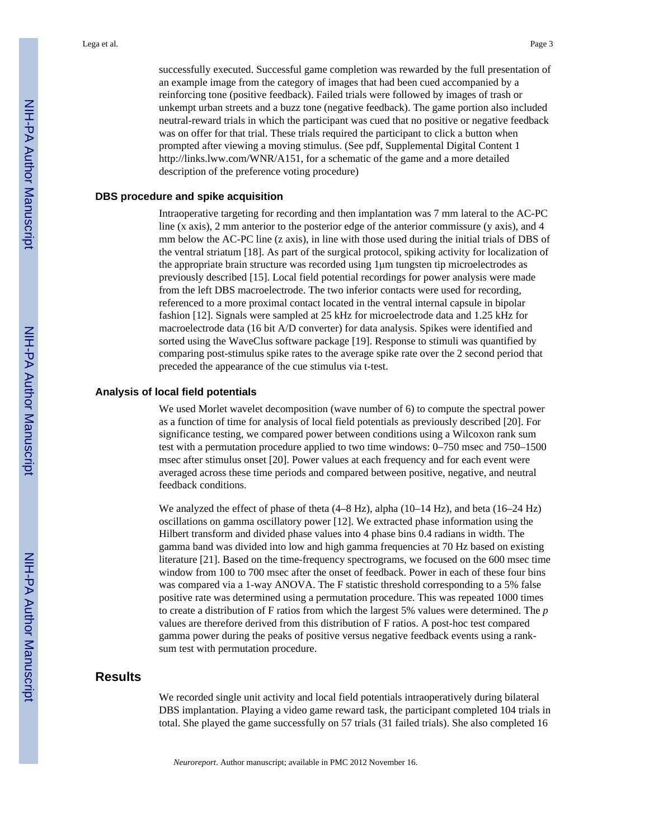successfully executed. Successful game completion was rewarded by the full presentation of an example image from the category of images that had been cued accompanied by a reinforcing tone (positive feedback). Failed trials were followed by images of trash or unkempt urban streets and a buzz tone (negative feedback). The game portion also included neutral-reward trials in which the participant was cued that no positive or negative feedback was on offer for that trial. These trials required the participant to click a button when prompted after viewing a moving stimulus. (See pdf, Supplemental Digital Content 1 [http://links.lww.com/WNR/A151,](http://links.lww.com/WNR/A151) for a schematic of the game and a more detailed description of the preference voting procedure)

#### **DBS procedure and spike acquisition**

Intraoperative targeting for recording and then implantation was 7 mm lateral to the AC-PC line (x axis), 2 mm anterior to the posterior edge of the anterior commissure (y axis), and 4 mm below the AC-PC line (z axis), in line with those used during the initial trials of DBS of the ventral striatum [18]. As part of the surgical protocol, spiking activity for localization of the appropriate brain structure was recorded using 1μm tungsten tip microelectrodes as previously described [15]. Local field potential recordings for power analysis were made from the left DBS macroelectrode. The two inferior contacts were used for recording, referenced to a more proximal contact located in the ventral internal capsule in bipolar fashion [12]. Signals were sampled at 25 kHz for microelectrode data and 1.25 kHz for macroelectrode data (16 bit A/D converter) for data analysis. Spikes were identified and sorted using the WaveClus software package [19]. Response to stimuli was quantified by comparing post-stimulus spike rates to the average spike rate over the 2 second period that preceded the appearance of the cue stimulus via t-test.

#### **Analysis of local field potentials**

We used Morlet wavelet decomposition (wave number of 6) to compute the spectral power as a function of time for analysis of local field potentials as previously described [20]. For significance testing, we compared power between conditions using a Wilcoxon rank sum test with a permutation procedure applied to two time windows: 0–750 msec and 750–1500 msec after stimulus onset [20]. Power values at each frequency and for each event were averaged across these time periods and compared between positive, negative, and neutral feedback conditions.

We analyzed the effect of phase of theta  $(4-8 \text{ Hz})$ , alpha  $(10-14 \text{ Hz})$ , and beta  $(16-24 \text{ Hz})$ oscillations on gamma oscillatory power [12]. We extracted phase information using the Hilbert transform and divided phase values into 4 phase bins 0.4 radians in width. The gamma band was divided into low and high gamma frequencies at 70 Hz based on existing literature [21]. Based on the time-frequency spectrograms, we focused on the 600 msec time window from 100 to 700 msec after the onset of feedback. Power in each of these four bins was compared via a 1-way ANOVA. The F statistic threshold corresponding to a 5% false positive rate was determined using a permutation procedure. This was repeated 1000 times to create a distribution of F ratios from which the largest 5% values were determined. The *p* values are therefore derived from this distribution of F ratios. A post-hoc test compared gamma power during the peaks of positive versus negative feedback events using a ranksum test with permutation procedure.

# **Results**

We recorded single unit activity and local field potentials intraoperatively during bilateral DBS implantation. Playing a video game reward task, the participant completed 104 trials in total. She played the game successfully on 57 trials (31 failed trials). She also completed 16

*Neuroreport*. Author manuscript; available in PMC 2012 November 16.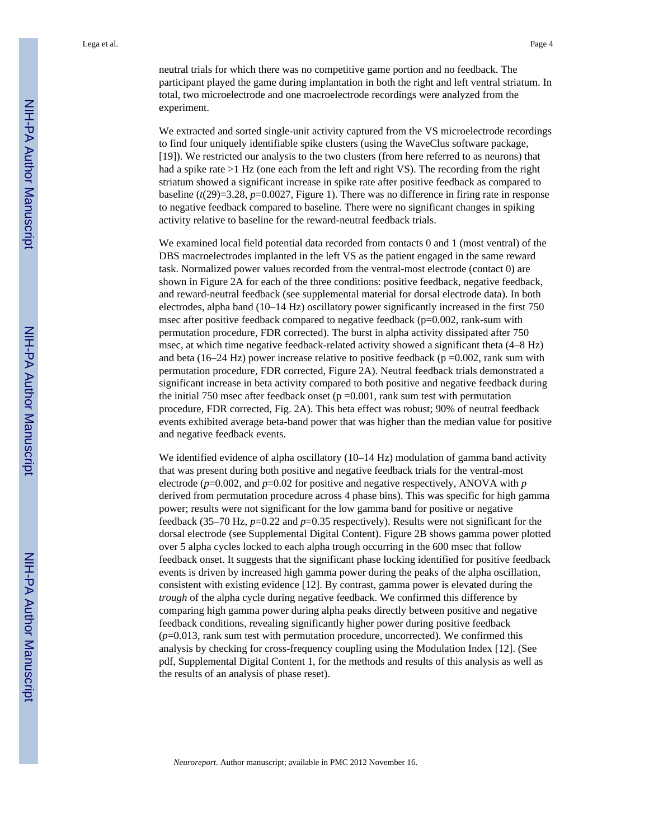neutral trials for which there was no competitive game portion and no feedback. The participant played the game during implantation in both the right and left ventral striatum. In total, two microelectrode and one macroelectrode recordings were analyzed from the experiment.

We extracted and sorted single-unit activity captured from the VS microelectrode recordings to find four uniquely identifiable spike clusters (using the WaveClus software package, [19]). We restricted our analysis to the two clusters (from here referred to as neurons) that had a spike rate >1 Hz (one each from the left and right VS). The recording from the right striatum showed a significant increase in spike rate after positive feedback as compared to baseline  $(t(29)=3.28, p=0.0027$ , Figure 1). There was no difference in firing rate in response to negative feedback compared to baseline. There were no significant changes in spiking activity relative to baseline for the reward-neutral feedback trials.

We examined local field potential data recorded from contacts 0 and 1 (most ventral) of the DBS macroelectrodes implanted in the left VS as the patient engaged in the same reward task. Normalized power values recorded from the ventral-most electrode (contact 0) are shown in Figure 2A for each of the three conditions: positive feedback, negative feedback, and reward-neutral feedback (see supplemental material for dorsal electrode data). In both electrodes, alpha band (10–14 Hz) oscillatory power significantly increased in the first 750 msec after positive feedback compared to negative feedback (p=0.002, rank-sum with permutation procedure, FDR corrected). The burst in alpha activity dissipated after 750 msec, at which time negative feedback-related activity showed a significant theta (4–8 Hz) and beta (16–24 Hz) power increase relative to positive feedback ( $p = 0.002$ , rank sum with permutation procedure, FDR corrected, Figure 2A). Neutral feedback trials demonstrated a significant increase in beta activity compared to both positive and negative feedback during the initial 750 msec after feedback onset ( $p = 0.001$ , rank sum test with permutation procedure, FDR corrected, Fig. 2A). This beta effect was robust; 90% of neutral feedback events exhibited average beta-band power that was higher than the median value for positive and negative feedback events.

We identified evidence of alpha oscillatory (10–14 Hz) modulation of gamma band activity that was present during both positive and negative feedback trials for the ventral-most electrode (*p*=0.002, and *p*=0.02 for positive and negative respectively, ANOVA with *p* derived from permutation procedure across 4 phase bins). This was specific for high gamma power; results were not significant for the low gamma band for positive or negative feedback (35–70 Hz, *p*=0.22 and *p*=0.35 respectively). Results were not significant for the dorsal electrode (see Supplemental Digital Content). Figure 2B shows gamma power plotted over 5 alpha cycles locked to each alpha trough occurring in the 600 msec that follow feedback onset. It suggests that the significant phase locking identified for positive feedback events is driven by increased high gamma power during the peaks of the alpha oscillation, consistent with existing evidence [12]. By contrast, gamma power is elevated during the *trough* of the alpha cycle during negative feedback. We confirmed this difference by comparing high gamma power during alpha peaks directly between positive and negative feedback conditions, revealing significantly higher power during positive feedback (*p*=0.013, rank sum test with permutation procedure, uncorrected). We confirmed this analysis by checking for cross-frequency coupling using the Modulation Index [12]. (See pdf, Supplemental Digital Content 1, for the methods and results of this analysis as well as the results of an analysis of phase reset).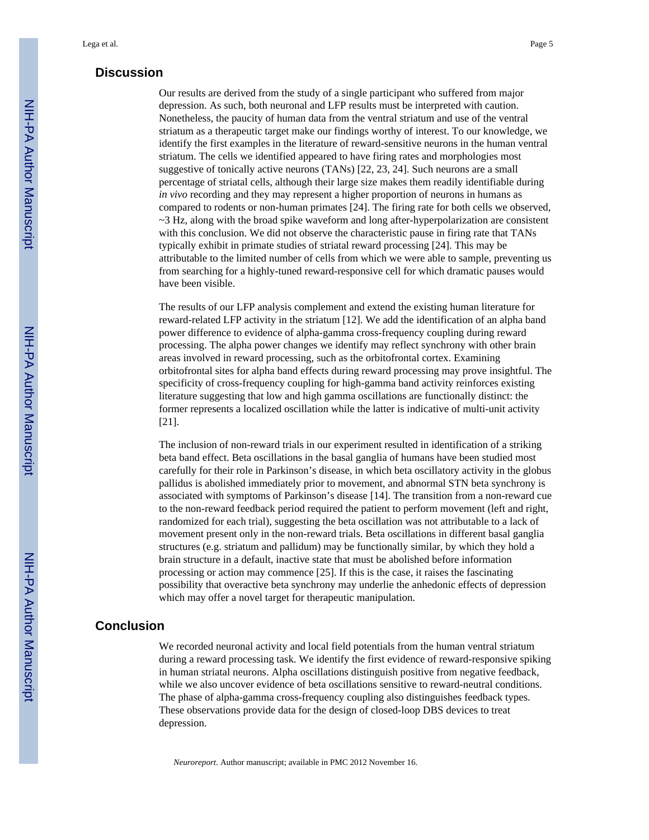# **Discussion**

Our results are derived from the study of a single participant who suffered from major depression. As such, both neuronal and LFP results must be interpreted with caution. Nonetheless, the paucity of human data from the ventral striatum and use of the ventral striatum as a therapeutic target make our findings worthy of interest. To our knowledge, we identify the first examples in the literature of reward-sensitive neurons in the human ventral striatum. The cells we identified appeared to have firing rates and morphologies most suggestive of tonically active neurons (TANs) [22, 23, 24]. Such neurons are a small percentage of striatal cells, although their large size makes them readily identifiable during *in vivo* recording and they may represent a higher proportion of neurons in humans as compared to rodents or non-human primates [24]. The firing rate for both cells we observed,  $\sim$ 3 Hz, along with the broad spike waveform and long after-hyperpolarization are consistent with this conclusion. We did not observe the characteristic pause in firing rate that TANs typically exhibit in primate studies of striatal reward processing [24]. This may be attributable to the limited number of cells from which we were able to sample, preventing us from searching for a highly-tuned reward-responsive cell for which dramatic pauses would have been visible.

The results of our LFP analysis complement and extend the existing human literature for reward-related LFP activity in the striatum [12]. We add the identification of an alpha band power difference to evidence of alpha-gamma cross-frequency coupling during reward processing. The alpha power changes we identify may reflect synchrony with other brain areas involved in reward processing, such as the orbitofrontal cortex. Examining orbitofrontal sites for alpha band effects during reward processing may prove insightful. The specificity of cross-frequency coupling for high-gamma band activity reinforces existing literature suggesting that low and high gamma oscillations are functionally distinct: the former represents a localized oscillation while the latter is indicative of multi-unit activity [21].

The inclusion of non-reward trials in our experiment resulted in identification of a striking beta band effect. Beta oscillations in the basal ganglia of humans have been studied most carefully for their role in Parkinson's disease, in which beta oscillatory activity in the globus pallidus is abolished immediately prior to movement, and abnormal STN beta synchrony is associated with symptoms of Parkinson's disease [14]. The transition from a non-reward cue to the non-reward feedback period required the patient to perform movement (left and right, randomized for each trial), suggesting the beta oscillation was not attributable to a lack of movement present only in the non-reward trials. Beta oscillations in different basal ganglia structures (e.g. striatum and pallidum) may be functionally similar, by which they hold a brain structure in a default, inactive state that must be abolished before information processing or action may commence [25]. If this is the case, it raises the fascinating possibility that overactive beta synchrony may underlie the anhedonic effects of depression which may offer a novel target for therapeutic manipulation.

# **Conclusion**

We recorded neuronal activity and local field potentials from the human ventral striatum during a reward processing task. We identify the first evidence of reward-responsive spiking in human striatal neurons. Alpha oscillations distinguish positive from negative feedback, while we also uncover evidence of beta oscillations sensitive to reward-neutral conditions. The phase of alpha-gamma cross-frequency coupling also distinguishes feedback types. These observations provide data for the design of closed-loop DBS devices to treat depression.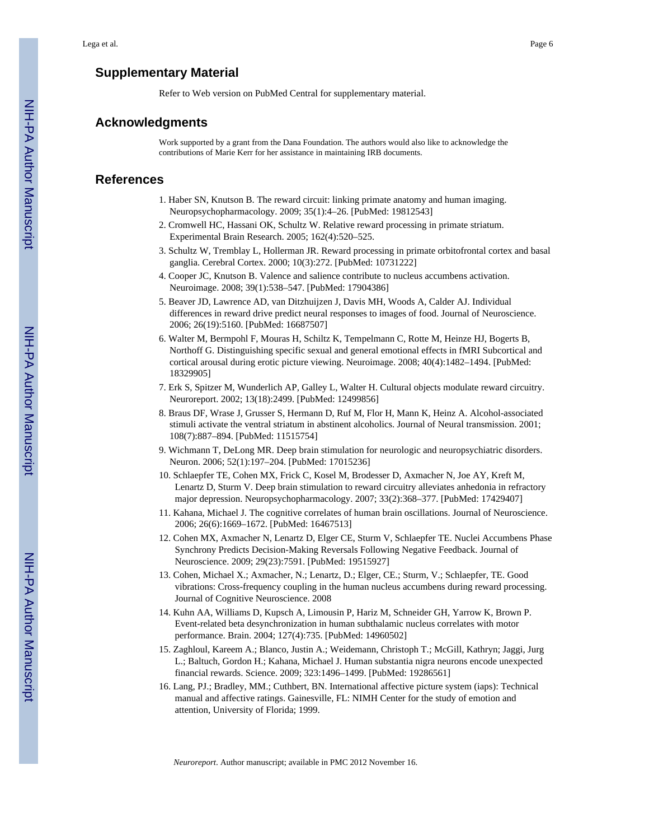# **Supplementary Material**

Refer to Web version on PubMed Central for supplementary material.

## **Acknowledgments**

Work supported by a grant from the Dana Foundation. The authors would also like to acknowledge the contributions of Marie Kerr for her assistance in maintaining IRB documents.

#### **References**

- 1. Haber SN, Knutson B. The reward circuit: linking primate anatomy and human imaging. Neuropsychopharmacology. 2009; 35(1):4–26. [PubMed: 19812543]
- 2. Cromwell HC, Hassani OK, Schultz W. Relative reward processing in primate striatum. Experimental Brain Research. 2005; 162(4):520–525.
- 3. Schultz W, Tremblay L, Hollerman JR. Reward processing in primate orbitofrontal cortex and basal ganglia. Cerebral Cortex. 2000; 10(3):272. [PubMed: 10731222]
- 4. Cooper JC, Knutson B. Valence and salience contribute to nucleus accumbens activation. Neuroimage. 2008; 39(1):538–547. [PubMed: 17904386]
- 5. Beaver JD, Lawrence AD, van Ditzhuijzen J, Davis MH, Woods A, Calder AJ. Individual differences in reward drive predict neural responses to images of food. Journal of Neuroscience. 2006; 26(19):5160. [PubMed: 16687507]
- 6. Walter M, Bermpohl F, Mouras H, Schiltz K, Tempelmann C, Rotte M, Heinze HJ, Bogerts B, Northoff G. Distinguishing specific sexual and general emotional effects in fMRI Subcortical and cortical arousal during erotic picture viewing. Neuroimage. 2008; 40(4):1482–1494. [PubMed: 18329905]
- 7. Erk S, Spitzer M, Wunderlich AP, Galley L, Walter H. Cultural objects modulate reward circuitry. Neuroreport. 2002; 13(18):2499. [PubMed: 12499856]
- 8. Braus DF, Wrase J, Grusser S, Hermann D, Ruf M, Flor H, Mann K, Heinz A. Alcohol-associated stimuli activate the ventral striatum in abstinent alcoholics. Journal of Neural transmission. 2001; 108(7):887–894. [PubMed: 11515754]
- 9. Wichmann T, DeLong MR. Deep brain stimulation for neurologic and neuropsychiatric disorders. Neuron. 2006; 52(1):197–204. [PubMed: 17015236]
- 10. Schlaepfer TE, Cohen MX, Frick C, Kosel M, Brodesser D, Axmacher N, Joe AY, Kreft M, Lenartz D, Sturm V. Deep brain stimulation to reward circuitry alleviates anhedonia in refractory major depression. Neuropsychopharmacology. 2007; 33(2):368–377. [PubMed: 17429407]
- 11. Kahana, Michael J. The cognitive correlates of human brain oscillations. Journal of Neuroscience. 2006; 26(6):1669–1672. [PubMed: 16467513]
- 12. Cohen MX, Axmacher N, Lenartz D, Elger CE, Sturm V, Schlaepfer TE. Nuclei Accumbens Phase Synchrony Predicts Decision-Making Reversals Following Negative Feedback. Journal of Neuroscience. 2009; 29(23):7591. [PubMed: 19515927]
- 13. Cohen, Michael X.; Axmacher, N.; Lenartz, D.; Elger, CE.; Sturm, V.; Schlaepfer, TE. Good vibrations: Cross-frequency coupling in the human nucleus accumbens during reward processing. Journal of Cognitive Neuroscience. 2008
- 14. Kuhn AA, Williams D, Kupsch A, Limousin P, Hariz M, Schneider GH, Yarrow K, Brown P. Event-related beta desynchronization in human subthalamic nucleus correlates with motor performance. Brain. 2004; 127(4):735. [PubMed: 14960502]
- 15. Zaghloul, Kareem A.; Blanco, Justin A.; Weidemann, Christoph T.; McGill, Kathryn; Jaggi, Jurg L.; Baltuch, Gordon H.; Kahana, Michael J. Human substantia nigra neurons encode unexpected financial rewards. Science. 2009; 323:1496–1499. [PubMed: 19286561]
- 16. Lang, PJ.; Bradley, MM.; Cuthbert, BN. International affective picture system (iaps): Technical manual and affective ratings. Gainesville, FL: NIMH Center for the study of emotion and attention, University of Florida; 1999.

*Neuroreport*. Author manuscript; available in PMC 2012 November 16.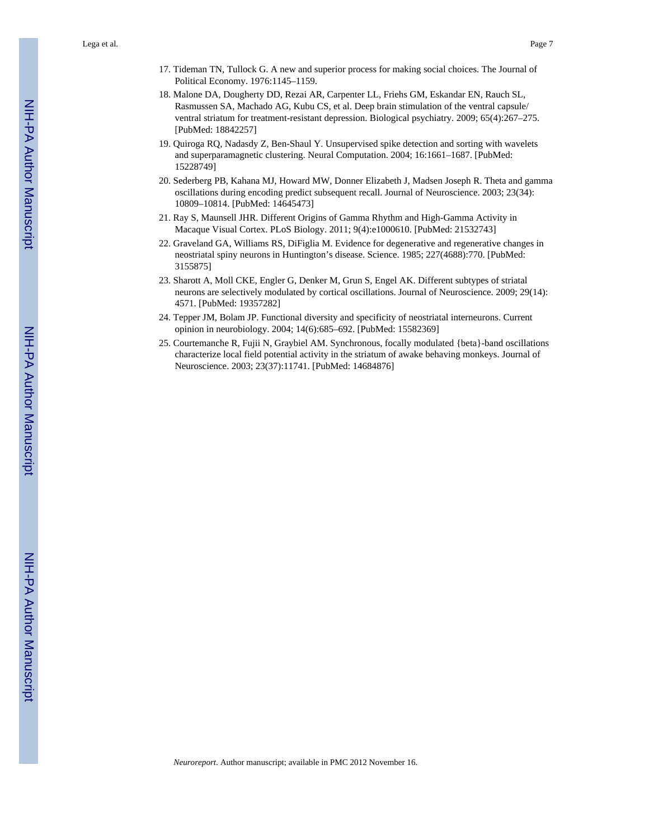- 17. Tideman TN, Tullock G. A new and superior process for making social choices. The Journal of Political Economy. 1976:1145–1159.
- 18. Malone DA, Dougherty DD, Rezai AR, Carpenter LL, Friehs GM, Eskandar EN, Rauch SL, Rasmussen SA, Machado AG, Kubu CS, et al. Deep brain stimulation of the ventral capsule/ ventral striatum for treatment-resistant depression. Biological psychiatry. 2009; 65(4):267–275. [PubMed: 18842257]
- 19. Quiroga RQ, Nadasdy Z, Ben-Shaul Y. Unsupervised spike detection and sorting with wavelets and superparamagnetic clustering. Neural Computation. 2004; 16:1661–1687. [PubMed: 15228749]
- 20. Sederberg PB, Kahana MJ, Howard MW, Donner Elizabeth J, Madsen Joseph R. Theta and gamma oscillations during encoding predict subsequent recall. Journal of Neuroscience. 2003; 23(34): 10809–10814. [PubMed: 14645473]
- 21. Ray S, Maunsell JHR. Different Origins of Gamma Rhythm and High-Gamma Activity in Macaque Visual Cortex. PLoS Biology. 2011; 9(4):e1000610. [PubMed: 21532743]
- 22. Graveland GA, Williams RS, DiFiglia M. Evidence for degenerative and regenerative changes in neostriatal spiny neurons in Huntington's disease. Science. 1985; 227(4688):770. [PubMed: 3155875]
- 23. Sharott A, Moll CKE, Engler G, Denker M, Grun S, Engel AK. Different subtypes of striatal neurons are selectively modulated by cortical oscillations. Journal of Neuroscience. 2009; 29(14): 4571. [PubMed: 19357282]
- 24. Tepper JM, Bolam JP. Functional diversity and specificity of neostriatal interneurons. Current opinion in neurobiology. 2004; 14(6):685–692. [PubMed: 15582369]
- 25. Courtemanche R, Fujii N, Graybiel AM. Synchronous, focally modulated {beta}-band oscillations characterize local field potential activity in the striatum of awake behaving monkeys. Journal of Neuroscience. 2003; 23(37):11741. [PubMed: 14684876]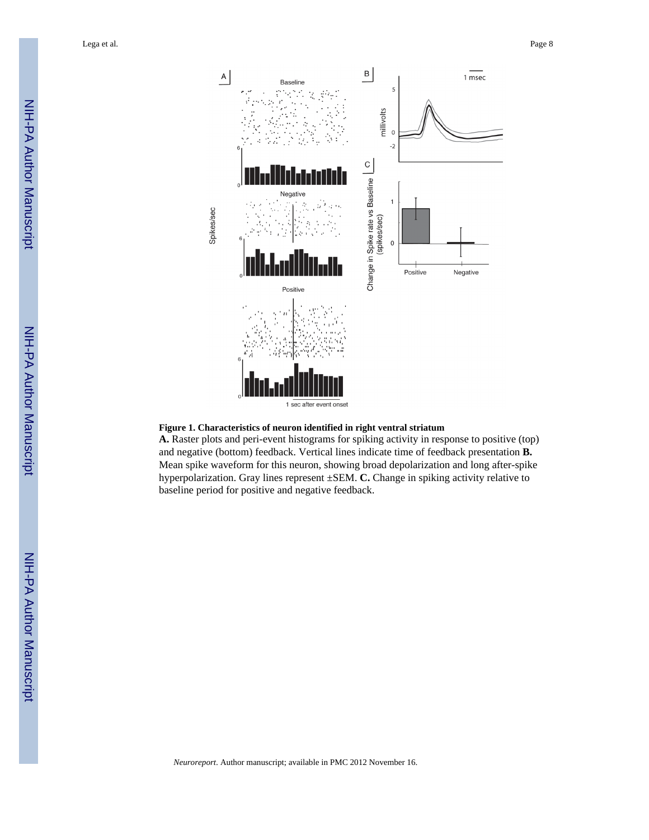Lega et al. Page 8





**A.** Raster plots and peri-event histograms for spiking activity in response to positive (top) and negative (bottom) feedback. Vertical lines indicate time of feedback presentation **B.** Mean spike waveform for this neuron, showing broad depolarization and long after-spike hyperpolarization. Gray lines represent ±SEM. **C.** Change in spiking activity relative to baseline period for positive and negative feedback.